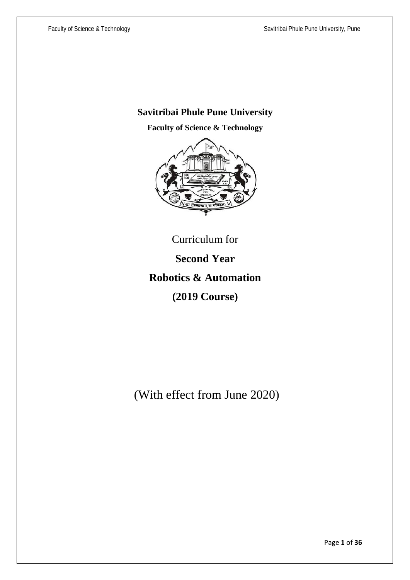# **Savitribai Phule Pune University**

**Faculty of Science & Technology**



Curriculum for **Second Year Robotics & Automation (2019 Course)**

(With effect from June 2020)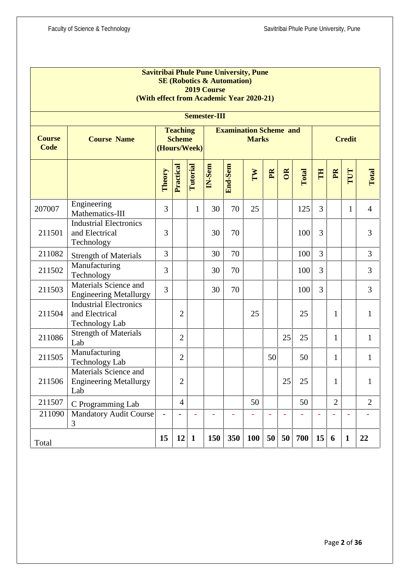|                              |                                                                          |                                                                                                   |                |                 | 2019 Course | <b>Savitribai Phule Pune University, Pune</b><br><b>SE (Robotics &amp; Automation)</b><br>(With effect from Academic Year 2020-21) |            |                |           |       |    |                |              |                |
|------------------------------|--------------------------------------------------------------------------|---------------------------------------------------------------------------------------------------|----------------|-----------------|-------------|------------------------------------------------------------------------------------------------------------------------------------|------------|----------------|-----------|-------|----|----------------|--------------|----------------|
|                              | <b>Semester-III</b>                                                      |                                                                                                   |                |                 |             |                                                                                                                                    |            |                |           |       |    |                |              |                |
| <b>Course</b><br><b>Code</b> | <b>Course Name</b>                                                       | <b>Examination Scheme and</b><br><b>Teaching</b><br><b>Scheme</b><br><b>Marks</b><br>(Hours/Week) |                |                 |             |                                                                                                                                    |            | <b>Credit</b>  |           |       |    |                |              |                |
|                              |                                                                          | Theory                                                                                            | Practical      | <b>Tutorial</b> | IN-Sem      | End-Sem                                                                                                                            | TW         | P <sub>R</sub> | <b>OR</b> | Total | E  | PR             | TUT          | Total          |
| 207007                       | Engineering<br>Mathematics-III                                           | 3                                                                                                 |                | $\mathbf{1}$    | 30          | 70                                                                                                                                 | 25         |                |           | 125   | 3  |                | $\mathbf{1}$ | $\overline{4}$ |
| 211501                       | <b>Industrial Electronics</b><br>and Electrical<br>Technology            | 3                                                                                                 |                |                 | 30          | 70                                                                                                                                 |            |                |           | 100   | 3  |                |              | 3              |
| 211082                       | <b>Strength of Materials</b>                                             | 3                                                                                                 |                |                 | 30          | 70                                                                                                                                 |            |                |           | 100   | 3  |                |              | 3              |
| 211502                       | Manufacturing<br>Technology                                              | 3                                                                                                 |                |                 | 30          | 70                                                                                                                                 |            |                |           | 100   | 3  |                |              | 3              |
| 211503                       | Materials Science and<br><b>Engineering Metallurgy</b>                   | $\overline{3}$                                                                                    |                |                 | 30          | 70                                                                                                                                 |            |                |           | 100   | 3  |                |              | 3              |
| 211504                       | <b>Industrial Electronics</b><br>and Electrical<br><b>Technology Lab</b> |                                                                                                   | $\overline{2}$ |                 |             |                                                                                                                                    | 25         |                |           | 25    |    | 1              |              | $\mathbf{1}$   |
| 211086                       | <b>Strength of Materials</b><br>Lab                                      |                                                                                                   | $\overline{2}$ |                 |             |                                                                                                                                    |            |                | 25        | 25    |    | 1              |              | $\mathbf{1}$   |
| 211505                       | Manufacturing<br>Technology Lab                                          |                                                                                                   | $\overline{2}$ |                 |             |                                                                                                                                    |            | 50             |           | 50    |    | 1              |              | $\mathbf{1}$   |
| 211506                       | Materials Science and<br><b>Engineering Metallurgy</b><br>Lab            |                                                                                                   | $\overline{c}$ |                 |             |                                                                                                                                    |            |                | 25        | 25    |    | 1              |              | $\mathbf{1}$   |
| 211507                       | C Programming Lab                                                        |                                                                                                   | $\overline{4}$ |                 |             |                                                                                                                                    | 50         |                |           | 50    |    | $\overline{2}$ |              | $\overline{2}$ |
| 211090                       | <b>Mandatory Audit Course</b><br>3                                       |                                                                                                   |                |                 |             |                                                                                                                                    |            | L,             |           |       |    |                |              |                |
| Total                        |                                                                          | 15                                                                                                | 12             | $\mathbf{1}$    | 150         | 350                                                                                                                                | <b>100</b> | 50             | 50        | 700   | 15 | 6              | $\mathbf{1}$ | 22             |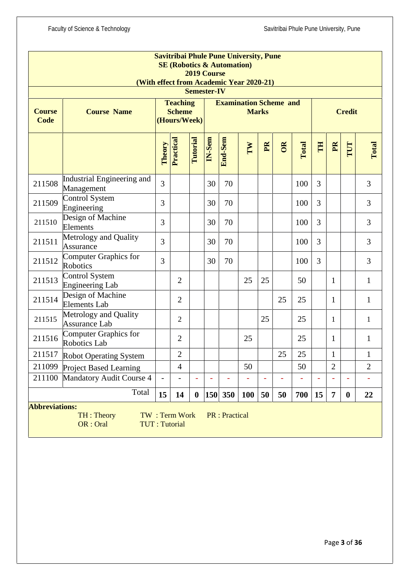|                       |                                                 |                                                                                                   |                                       | 2019 Course<br><b>Semester-IV</b> |        | <b>Savitribai Phule Pune University, Pune</b><br><b>SE (Robotics &amp; Automation)</b><br>(With effect from Academic Year 2020-21) |            |                         |               |       |                |                |                          |                |
|-----------------------|-------------------------------------------------|---------------------------------------------------------------------------------------------------|---------------------------------------|-----------------------------------|--------|------------------------------------------------------------------------------------------------------------------------------------|------------|-------------------------|---------------|-------|----------------|----------------|--------------------------|----------------|
| <b>Course</b><br>Code | <b>Course Name</b>                              | <b>Examination Scheme and</b><br><b>Teaching</b><br><b>Scheme</b><br><b>Marks</b><br>(Hours/Week) |                                       |                                   |        |                                                                                                                                    |            |                         | <b>Credit</b> |       |                |                |                          |                |
|                       |                                                 | Theory                                                                                            | Practical                             | Tutorial                          | IN-Sem | End-Sem                                                                                                                            | IW         | $\mathbf{P} \mathbf{R}$ | OR            | Total | E              | PR             | TUT                      | Total          |
| 211508                | Industrial Engineering and<br>Management        | $\overline{3}$                                                                                    |                                       |                                   | 30     | 70                                                                                                                                 |            |                         |               | 100   | $\overline{3}$ |                |                          | 3              |
| 211509                | Control System<br>Engineering                   | 3                                                                                                 |                                       |                                   | 30     | 70                                                                                                                                 |            |                         |               | 100   | $\overline{3}$ |                |                          | 3              |
| 211510                | Design of Machine<br>Elements                   | 3                                                                                                 |                                       |                                   | 30     | 70                                                                                                                                 |            |                         |               | 100   | 3              |                |                          | 3              |
| 211511                | Metrology and Quality<br>Assurance              | 3                                                                                                 |                                       |                                   | 30     | 70                                                                                                                                 |            |                         |               | 100   | 3              |                |                          | 3              |
| 211512                | Computer Graphics for<br>Robotics               | 3                                                                                                 |                                       |                                   | 30     | 70                                                                                                                                 |            |                         |               | 100   | 3              |                |                          | 3              |
| 211513                | <b>Control System</b><br><b>Engineering Lab</b> |                                                                                                   | $\overline{2}$                        |                                   |        |                                                                                                                                    | 25         | 25                      |               | 50    |                | 1              |                          | $\mathbf{1}$   |
| 211514                | Design of Machine<br><b>Elements Lab</b>        |                                                                                                   | $\overline{2}$                        |                                   |        |                                                                                                                                    |            |                         | 25            | 25    |                | 1              |                          | $\mathbf{1}$   |
| 211515                | Metrology and Quality<br><b>Assurance Lab</b>   |                                                                                                   | $\overline{2}$                        |                                   |        |                                                                                                                                    |            | 25                      |               | 25    |                | 1              |                          | $\mathbf{1}$   |
| 211516                | Computer Graphics for<br>Robotics Lab           |                                                                                                   | $\overline{2}$                        |                                   |        |                                                                                                                                    | 25         |                         |               | 25    |                | $\mathbf{1}$   |                          | $\mathbf{1}$   |
|                       | 211517 Robot Operating System                   |                                                                                                   | $\overline{2}$                        |                                   |        |                                                                                                                                    |            |                         | 25            | 25    |                | $\mathbf{1}$   |                          | $\mathbf{1}$   |
| 211099                | <b>Project Based Learning</b>                   |                                                                                                   | $\overline{4}$                        |                                   |        |                                                                                                                                    | 50         |                         |               | 50    |                | $\overline{2}$ |                          | $\overline{2}$ |
| 211100                | Mandatory Audit Course 4                        | $\overline{\phantom{a}}$                                                                          | $\overline{a}$                        |                                   |        | $\overline{\phantom{a}}$                                                                                                           |            | ÷                       |               |       | L,             |                | $\overline{\phantom{a}}$ |                |
|                       | Total                                           | 15                                                                                                | 14                                    | $\boldsymbol{0}$                  |        | 150 350                                                                                                                            | <b>100</b> | 50                      | 50            | 700   | 15             | 7              | $\boldsymbol{0}$         | 22             |
| <b>Abbreviations:</b> | TH: Theory<br>OR : Oral                         |                                                                                                   | TW: Term Work<br><b>TUT: Tutorial</b> |                                   |        | <b>PR</b> : Practical                                                                                                              |            |                         |               |       |                |                |                          |                |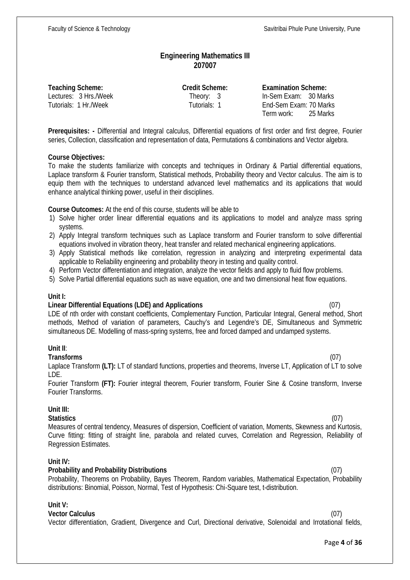# **Engineering Mathematics III 207007**

**Teaching Scheme: Credit Scheme: Examination Scheme:**

Lectures: 3 Hrs./Week Theory: 3 In-Sem Exam: 30 Marks Tutorials: 1 Hr./Week Tutorials: 1 End-Sem Exam: 70 Marks Term work: 25 Marks

**Prerequisites: -** Differential and Integral calculus, Differential equations of first order and first degree, Fourier series, Collection, classification and representation of data, Permutations & combinations and Vector algebra.

#### **Course Objectives:**

To make the students familiarize with concepts and techniques in Ordinary & Partial differential equations, Laplace transform & Fourier transform, Statistical methods, Probability theory and Vector calculus. The aim is to equip them with the techniques to understand advanced level mathematics and its applications that would enhance analytical thinking power, useful in their disciplines.

**Course Outcomes:** At the end of this course, students will be able to

- 1) Solve higher order linear differential equations and its applications to model and analyze mass spring systems.
- 2) Apply Integral transform techniques such as Laplace transform and Fourier transform to solve differential equations involved in vibration theory, heat transfer and related mechanical engineering applications.
- 3) Apply Statistical methods like correlation, regression in analyzing and interpreting experimental data applicable to Reliability engineering and probability theory in testing and quality control.
- 4) Perform Vector differentiation and integration, analyze the vector fields and apply to fluid flow problems.
- 5) Solve Partial differential equations such as wave equation, one and two dimensional heat flow equations.

### **Unit I:**

### **Linear Differential Equations (LDE) and Applications** (07)

LDE of nth order with constant coefficients, Complementary Function, Particular Integral, General method, Short methods, Method of variation of parameters, Cauchy's and Legendre's DE, Simultaneous and Symmetric simultaneous DE. Modelling of mass-spring systems, free and forced damped and undamped systems.

### **Unit II**:

**Transforms** (07) Laplace Transform **(LT):** LT of standard functions, properties and theorems, Inverse LT, Application of LT to solve LDE.

Fourier Transform **(FT):** Fourier integral theorem, Fourier transform, Fourier Sine & Cosine transform, Inverse Fourier Transforms.

### **Unit III:**

**Statistics** (07) Measures of central tendency, Measures of dispersion, Coefficient of variation, Moments, Skewness and Kurtosis, Curve fitting: fitting of straight line, parabola and related curves, Correlation and Regression, Reliability of Regression Estimates.

### **Unit IV:**

### **Probability and Probability Distributions** (07)

Probability, Theorems on Probability, Bayes Theorem, Random variables, Mathematical Expectation, Probability distributions: Binomial, Poisson, Normal, Test of Hypothesis: Chi-Square test, t-distribution.

#### **Unit V:**

#### **Vector Calculus** (07)

Vector differentiation, Gradient, Divergence and Curl, Directional derivative, Solenoidal and Irrotational fields,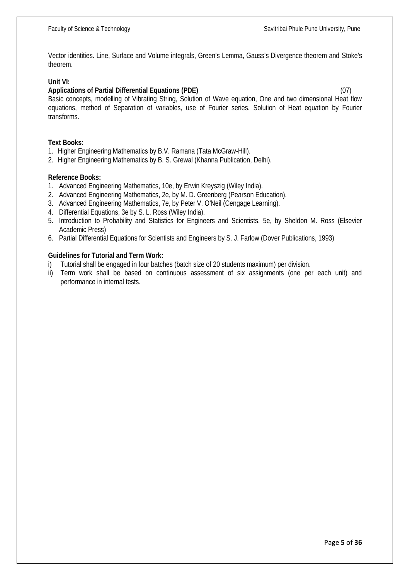Vector identities. Line, Surface and Volume integrals, Green's Lemma, Gauss's Divergence theorem and Stoke's theorem.

#### **Unit VI:**

#### **Applications of Partial Differential Equations (PDE)** (07)

Basic concepts, modelling of Vibrating String, Solution of Wave equation, One and two dimensional Heat flow equations, method of Separation of variables, use of Fourier series. Solution of Heat equation by Fourier transforms.

#### **Text Books:**

- 1. Higher Engineering Mathematics by B.V. Ramana (Tata McGraw-Hill).
- 2. Higher Engineering Mathematics by B. S. Grewal (Khanna Publication, Delhi).

#### **Reference Books:**

- 1. Advanced Engineering Mathematics, 10e, by Erwin Kreyszig (Wiley India).
- 2. Advanced Engineering Mathematics, 2e, by M. D. Greenberg (Pearson Education).
- 3. Advanced Engineering Mathematics, 7e, by Peter V. O'Neil (Cengage Learning).
- 4. Differential Equations, 3e by S. L. Ross (Wiley India).
- 5. Introduction to Probability and Statistics for Engineers and Scientists, 5e, by Sheldon M. Ross (Elsevier Academic Press)
- 6. Partial Differential Equations for Scientists and Engineers by S. J. Farlow (Dover Publications, 1993)

#### **Guidelines for Tutorial and Term Work:**

- i) Tutorial shall be engaged in four batches (batch size of 20 students maximum) per division.
- ii) Term work shall be based on continuous assessment of six assignments (one per each unit) and performance in internal tests.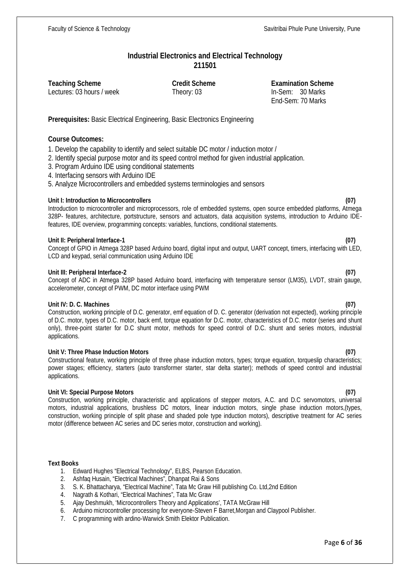# **Industrial Electronics and Electrical Technology 211501**

Lectures: 03 hours / week Theory: 03 In-Sem: 30 Marks

**Teaching Scheme Credit Scheme Examination Scheme** End-Sem: 70 Marks

**Prerequisites:** Basic Electrical Engineering, Basic Electronics Engineering

### **Course Outcomes:**

1. Develop the capability to identify and select suitable DC motor / induction motor /

2. Identify special purpose motor and its speed control method for given industrial application.

- 3. Program Arduino IDE using conditional statements
- 4. Interfacing sensors with Arduino IDE

5. Analyze Microcontrollers and embedded systems terminologies and sensors

#### **Unit I: Introduction to Microcontrollers (07)**

Introduction to microcontroller and microprocessors, role of embedded systems, open source embedded platforms, Atmega 328P- features, architecture, portstructure, sensors and actuators, data acquisition systems, introduction to Arduino IDEfeatures, IDE overview, programming concepts: variables, functions, conditional statements.

#### **Unit II: Peripheral Interface-1 (07)**

Concept of GPIO in Atmega 328P based Arduino board, digital input and output, UART concept, timers, interfacing with LED, LCD and keypad, serial communication using Arduino IDE

#### **Unit III: Peripheral Interface-2 (07)**

Concept of ADC in Atmega 328P based Arduino board, interfacing with temperature sensor (LM35), LVDT, strain gauge, accelerometer, concept of PWM, DC motor interface using PWM

#### **Unit IV: D. C. Machines (07)**

Construction, working principle of D.C. generator, emf equation of D. C. generator (derivation not expected), working principle of D.C. motor, types of D.C. motor, back emf, torque equation for D.C. motor, characteristics of D.C. motor (series and shunt only), three-point starter for D.C shunt motor, methods for speed control of D.C. shunt and series motors, industrial applications.

#### **Unit V: Three Phase Induction Motors (07)**

Constructional feature, working principle of three phase induction motors, types; torque equation, torqueslip characteristics; power stages; efficiency, starters (auto transformer starter, star delta starter); methods of speed control and industrial applications.

#### **Unit VI: Special Purpose Motors (07)**

Construction, working principle, characteristic and applications of stepper motors, A.C. and D.C servomotors, universal motors, industrial applications, brushless DC motors, linear induction motors, single phase induction motors,(types, construction, working principle of split phase and shaded pole type induction motors), descriptive treatment for AC series motor (difference between AC series and DC series motor, construction and working).

#### **Text Books**

- 1. Edward Hughes "Electrical Technology", ELBS, Pearson Education.
- 2. Ashfaq Husain, "Electrical Machines", Dhanpat Rai & Sons
- 3. S. K. Bhattacharya, "Electrical Machine", Tata Mc Graw Hill publishing Co. Ltd,2nd Edition
- 4. Nagrath & Kothari, "Electrical Machines", Tata Mc Graw
- 5. Ajay Deshmukh, 'Microcontrollers Theory and Applications', TATA McGraw Hill
- 6. Arduino microcontroller processing for everyone-Steven F Barret,Morgan and Claypool Publisher.
- 7. C programming with ardino-Warwick Smith Elektor Publication.

#### Page **6** of **36**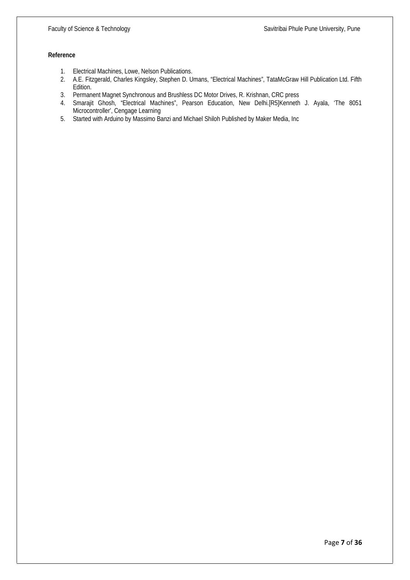#### **Reference**

- 1. Electrical Machines, Lowe, Nelson Publications.
- 2. A.E. Fitzgerald, Charles Kingsley, Stephen D. Umans, "Electrical Machines", TataMcGraw Hill Publication Ltd. Fifth Edition.
- 3. Permanent Magnet Synchronous and Brushless DC Motor Drives, R. Krishnan, CRC press
- 4. Smarajit Ghosh, "Electrical Machines", Pearson Education, New Delhi.[R5]Kenneth J. Ayala, 'The 8051 Microcontroller', Cengage Learning
- 5. Started with Arduino by Massimo Banzi and Michael Shiloh Published by Maker Media, Inc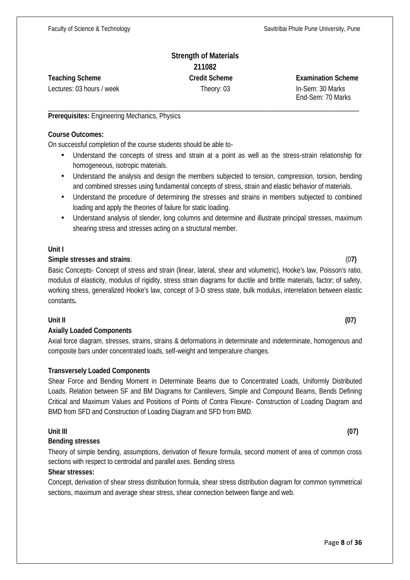# **Strength of Materials 211082 Teaching Scheme Credit Scheme Examination Scheme**

Lectures: 03 hours / week Theory: 03 In-Sem: 30 Marks

End-Sem: 70 Marks

#### \_\_\_\_\_\_\_\_\_\_\_\_\_\_\_\_\_\_\_\_\_\_\_\_\_\_\_\_\_\_\_\_\_\_\_\_\_\_\_\_\_\_\_\_\_\_\_\_\_\_\_\_\_\_\_\_\_\_\_\_\_\_\_\_\_\_\_\_\_\_\_\_\_\_\_\_\_\_\_\_\_\_\_\_\_\_\_\_\_\_ **Prerequisites:** Engineering Mechanics, Physics

#### **Course Outcomes:**

On successful completion of the course students should be able to-

- Understand the concepts of stress and strain at a point as well as the stress-strain relationship for homogeneous, isotropic materials.
- Understand the analysis and design the members subjected to tension, compression, torsion, bending and combined stresses using fundamental concepts of stress, strain and elastic behavior of materials.
- Understand the procedure of determining the stresses and strains in members subjected to combined loading and apply the theories of failure for static loading.
- Understand analysis of slender, long columns and determine and illustrate principal stresses, maximum shearing stress and stresses acting on a structural member.

### **Unit I**

# **Simple stresses and strains**: (0**7)**

Basic Concepts- Concept of stress and strain (linear, lateral, shear and volumetric), Hooke's law, Poisson's ratio, modulus of elasticity, modulus of rigidity, stress strain diagrams for ductile and brittle materials, factor; of safety, working stress, generalized Hooke's law, concept of 3-D stress state, bulk modulus, interrelation between elastic constants**.**

# **Unit II (07)**

# **Axially Loaded Components**

Axial force diagram, stresses, strains, strains & deformations in determinate and indeterminate, homogenous and composite bars under concentrated loads, self-weight and temperature changes.

# **Transversely Loaded Components**

Shear Force and Bending Moment in Determinate Beams due to Concentrated Loads, Uniformly Distributed Loads. Relation between SF and BM Diagrams for Cantilevers, Simple and Compound Beams, Bends Defining Critical and Maximum Values and Positions of Points of Contra Flexure- Construction of Loading Diagram and BMD from SFD and Construction of Loading Diagram and SFD from BMD.

### **Unit III (07)**

# **Bending stresses**

Theory of simple bending, assumptions, derivation of flexure formula, second moment of area of common cross sections with respect to centroidal and parallel axes. Bending stress

### **Shear stresses:**

Concept, derivation of shear stress distribution formula, shear stress distribution diagram for common symmetrical sections, maximum and average shear stress, shear connection between flange and web.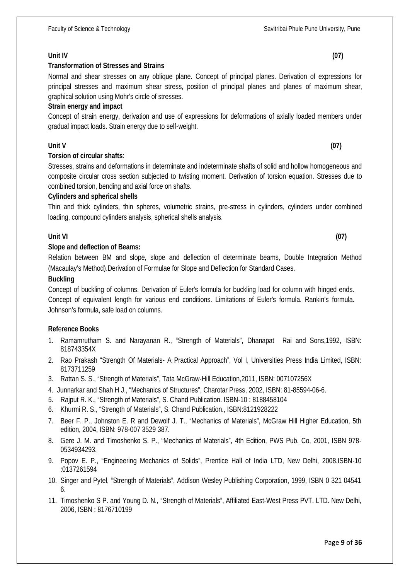# **Unit IV (07)**

# **Transformation of Stresses and Strains**

Normal and shear stresses on any oblique plane. Concept of principal planes. Derivation of expressions for principal stresses and maximum shear stress, position of principal planes and planes of maximum shear, graphical solution using Mohr's circle of stresses.

# **Strain energy and impact**

Concept of strain energy, derivation and use of expressions for deformations of axially loaded members under gradual impact loads. Strain energy due to self-weight.

# **Unit V (07)**

# **Torsion of circular shafts**:

Stresses, strains and deformations in determinate and indeterminate shafts of solid and hollow homogeneous and composite circular cross section subjected to twisting moment. Derivation of torsion equation. Stresses due to combined torsion, bending and axial force on shafts.

# **Cylinders and spherical shells**

Thin and thick cylinders, thin spheres, volumetric strains, pre-stress in cylinders, cylinders under combined loading, compound cylinders analysis, spherical shells analysis.

# **Unit VI (07)**

# **Slope and deflection of Beams:**

Relation between BM and slope, slope and deflection of determinate beams, Double Integration Method (Macaulay's Method).Derivation of Formulae for Slope and Deflection for Standard Cases.

### **Buckling**

Concept of buckling of columns. Derivation of Euler's formula for buckling load for column with hinged ends. Concept of equivalent length for various end conditions. Limitations of Euler's formula. Rankin's formula. Johnson's formula, safe load on columns.

### **Ref**e**rence Books**

- 1. Ramamrutham S. and Narayanan R., "Strength of Materials", Dhanapat Rai and Sons,1992, ISBN: 818743354X
- 2. Rao Prakash "Strength Of Materials- A Practical Approach", Vol I, Universities Press India Limited, ISBN: 8173711259
- 3. Rattan S. S., "Strength of Materials", Tata McGraw-Hill Education,2011, ISBN: 007107256X
- 4. Junnarkar and Shah H J., "Mechanics of Structures", Charotar Press, 2002, ISBN: 81-85594-06-6.
- 5. Rajput R. K., "Strength of Materials", S. Chand Publication. ISBN-10 : 8188458104
- 6. Khurmi R. S., "Strength of Materials", S. Chand Publication., ISBN:8121928222
- 7. Beer F. P., Johnston E. R and Dewolf J. T., "Mechanics of Materials", McGraw Hill Higher Education, 5th edition, 2004, ISBN: 978-007 3529 387.
- 8. Gere J. M. and Timoshenko S. P., "Mechanics of Materials", 4th Edition, PWS Pub. Co, 2001, ISBN 978- 0534934293.
- 9. Popov E. P., "Engineering Mechanics of Solids", Prentice Hall of India LTD, New Delhi, 2008.ISBN-10 :0137261594
- 10. Singer and Pytel, "Strength of Materials", Addison Wesley Publishing Corporation, 1999, ISBN 0 321 04541 6.
- 11. Timoshenko S P. and Young D. N., "Strength of Materials", Affiliated East-West Press PVT. LTD. New Delhi, 2006, ISBN : 8176710199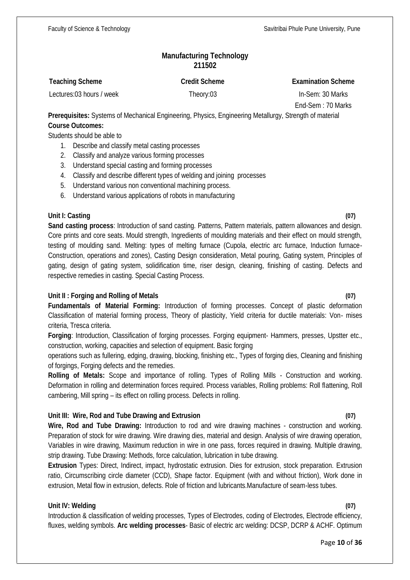# **Manufacturing Technology 211502**

| <b>Teaching Scheme</b>   | <b>Credit Scheme</b> | <b>Examination Scheme</b> |
|--------------------------|----------------------|---------------------------|
| Lectures:03 hours / week | Theory:03            | In-Sem: 30 Marks          |

End-Sem : 70 Marks

**Prerequisites:** Systems of Mechanical Engineering, Physics, Engineering Metallurgy, Strength of material **Course Outcomes:**

Students should be able to

- 1. Describe and classify metal casting processes
- 2. Classify and analyze various forming processes
- 3. Understand special casting and forming processes
- 4. Classify and describe different types of welding and joining processes
- 5. Understand various non conventional machining process.
- 6. Understand various applications of robots in manufacturing

### **Unit I: Casting (07)**

**Sand casting process**: Introduction of sand casting. Patterns, Pattern materials, pattern allowances and design. Core prints and core seats. Mould strength, Ingredients of moulding materials and their effect on mould strength, testing of moulding sand. Melting: types of melting furnace (Cupola, electric arc furnace, Induction furnace- Construction, operations and zones), Casting Design consideration, Metal pouring, Gating system, Principles of gating, design of gating system, solidification time, riser design, cleaning, finishing of casting. Defects and respective remedies in casting. Special Casting Process.

# **Unit II : Forging and Rolling of Metals (07)**

**Fundamentals of Material Forming:** Introduction of forming processes. Concept of plastic deformation Classification of material forming process, Theory of plasticity, Yield criteria for ductile materials: Von- mises criteria, Tresca criteria.

**Forging**: Introduction, Classification of forging processes. Forging equipment- Hammers, presses, Upstter etc., construction, working, capacities and selection of equipment. Basic forging

operations such as fullering, edging, drawing, blocking, finishing etc., Types of forging dies, Cleaning and finishing of forgings, Forging defects and the remedies.

**Rolling of Metals:** Scope and importance of rolling. Types of Rolling Mills - Construction and working. Deformation in rolling and determination forces required. Process variables, Rolling problems: Roll flattening, Roll cambering, Mill spring – its effect on rolling process. Defects in rolling.

# **Unit III: Wire, Rod and Tube Drawing and Extrusion (07)**

**Wire, Rod and Tube Drawing:** Introduction to rod and wire drawing machines - construction and working. Preparation of stock for wire drawing. Wire drawing dies, material and design. Analysis of wire drawing operation, Variables in wire drawing, Maximum reduction in wire in one pass, forces required in drawing. Multiple drawing, strip drawing. Tube Drawing: Methods, force calculation, lubrication in tube drawing.

**Extrusion** Types: Direct, Indirect, impact, hydrostatic extrusion. Dies for extrusion, stock preparation. Extrusion ratio, Circumscribing circle diameter (CCD), Shape factor. Equipment (with and without friction), Work done in extrusion, Metal flow in extrusion, defects. Role of friction and lubricants.Manufacture of seam-less tubes.

### **Unit IV: Welding (07)**

Introduction & classification of welding processes, Types of Electrodes, coding of Electrodes, Electrode efficiency, fluxes, welding symbols. **Arc welding processes**- Basic of electric arc welding: DCSP, DCRP & ACHF. Optimum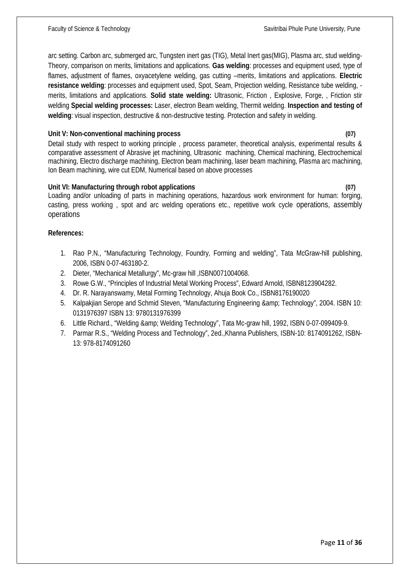arc setting. Carbon arc, submerged arc, Tungsten inert gas (TIG), Metal Inert gas(MIG), Plasma arc, stud welding- Theory, comparison on merits, limitations and applications. **Gas welding**: processes and equipment used, type of flames, adjustment of flames, oxyacetylene welding, gas cutting –merits, limitations and applications. **Electric resistance welding**: processes and equipment used, Spot, Seam, Projection welding, Resistance tube welding, merits, limitations and applications. **Solid state welding:** Ultrasonic, Friction , Explosive, Forge, , Friction stir welding **Special welding processes:** Laser, electron Beam welding, Thermit welding. **Inspection and testing of welding**: visual inspection, destructive & non-destructive testing. Protection and safety in welding.

#### **Unit V: Non-conventional machining process (07)**

Detail study with respect to working principle, process parameter, theoretical analysis, experimental results & comparative assessment of Abrasive jet machining, Ultrasonic machining, Chemical machining, Electrochemical machining, Electro discharge machining, Electron beam machining, laser beam machining, Plasma arc machining, Ion Beam machining, wire cut EDM, Numerical based on above processes

#### **Unit VI: Manufacturing through robot applications (07)**

Loading and/or unloading of parts in machining operations, hazardous work environment for human: forging, casting, press working , spot and arc welding operations etc., repetitive work cycle operations, assembly operations

#### **References:**

- 1. Rao P.N., "Manufacturing Technology, Foundry, Forming and welding", Tata McGraw-hill publishing, 2006, ISBN 0-07-463180-2.
- 2. Dieter, "Mechanical Metallurgy", Mc-graw hill ,ISBN0071004068.
- 3. Rowe G.W., "Principles of Industrial Metal Working Process", Edward Arnold, ISBN8123904282.
- 4. Dr. R. Narayanswamy, Metal Forming Technology, Ahuja Book Co., ISBN8176190020
- 5. Kalpakjian Serope and Schmid Steven, "Manufacturing Engineering & amp; Technology", 2004. ISBN 10: 0131976397 ISBN 13: 9780131976399
- 6. Little Richard., "Welding & amp; Welding Technology", Tata Mc-graw hill, 1992, ISBN 0-07-099409-9.
- 7. Parmar R.S., "Welding Process and Technology", 2ed.,Khanna Publishers, ISBN-10: 8174091262, ISBN- 13: 978-8174091260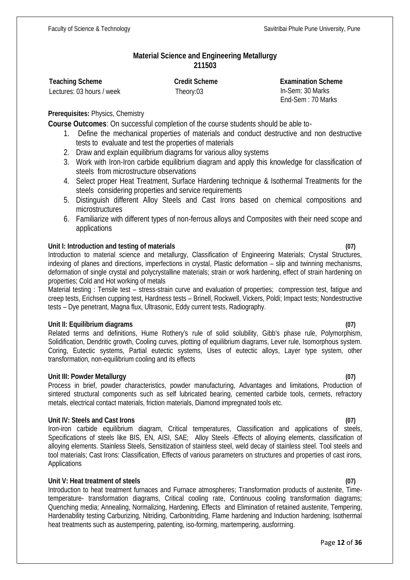# **Material Science and Engineering Metallurgy 211503**

**Teaching Scheme Credit Scheme Examination Scheme** Lectures: 03 hours / week Theory:03 In-Sem: 30 Marks End-Sem : 70 Marks

# **Prerequisites:** Physics, Chemistry

**Course Outcomes**: On successful completion of the course students should be able to-

- 1. Define the mechanical properties of materials and conduct destructive and non destructive tests to evaluate and test the properties of materials
- 2. Draw and explain equilibrium diagrams for various alloy systems
- 3. Work with Iron-Iron carbide equilibrium diagram and apply this knowledge for classification of steels from microstructure observations
- 4. Select proper Heat Treatment, Surface Hardening technique & Isothermal Treatments for the steels considering properties and service requirements
- 5. Distinguish different Alloy Steels and Cast Irons based on chemical compositions and microstructures
- 6. Familiarize with different types of non-ferrous alloys and Composites with their need scope and applications

# **Unit I: Introduction and testing of materials (07)**

Introduction to material science and metallurgy, Classification of Engineering Materials; Crystal Structures, indexing of planes and directions, imperfections in crystal, Plastic deformation – slip and twinning mechanisms, deformation of single crystal and polycrystalline materials; strain or work hardening, effect of strain hardening on properties; Cold and Hot working of metals

Material testing : Tensile test – stress-strain curve and evaluation of properties; compression test, fatigue and creep tests, Erichsen cupping test, Hardness tests – Brinell, Rockwell, Vickers, Poldi; Impact tests; Nondestructive tests – Dye penetrant, Magna flux, Ultrasonic, Eddy current tests, Radiography.

### **Unit II: Equilibrium diagrams (07)**

Related terms and definitions, Hume Rothery's rule of solid solubility, Gibb's phase rule, Polymorphism, Solidification, Dendritic growth, Cooling curves, plotting of equilibrium diagrams, Lever rule, Isomorphous system. Coring, Eutectic systems, Partial eutectic systems, Uses of eutectic alloys, Layer type system, other transformation, non-equilibrium cooling and its effects

### **Unit III: Powder Metallurgy (07)**

Process in brief, powder characteristics, powder manufacturing, Advantages and limitations, Production of sintered structural components such as self lubricated bearing, cemented carbide tools, cermets, refractory metals, electrical contact materials, friction materials, Diamond impregnated tools etc.

### **Unit IV: Steels and Cast Irons (07)**

Iron-iron carbide equilibrium diagram, Critical temperatures, Classification and applications of steels, Specifications of steels like BIS, EN, AISI, SAE; Alloy Steels -Effects of alloying elements, classification of alloying elements. Stainless Steels, Sensitization of stainless steel, weld decay of stainless steel. Tool steels and tool materials; Cast Irons: Classification, Effects of various parameters on structures and properties of cast irons, **Applications** 

# **Unit V: Heat treatment of steels (07)**

Introduction to heat treatment furnaces and Furnace atmospheres; Transformation products of austenite, Timetemperature- transformation diagrams, Critical cooling rate, Continuous cooling transformation diagrams; Quenching media; Annealing, Normalizing, Hardening, Effects and Elimination of retained austenite, Tempering, Hardenability testing Carburizing, Nitriding, Carbonitriding, Flame hardening and Induction hardening; Isothermal heat treatments such as austempering, patenting, iso-forming, martempering, ausforrning.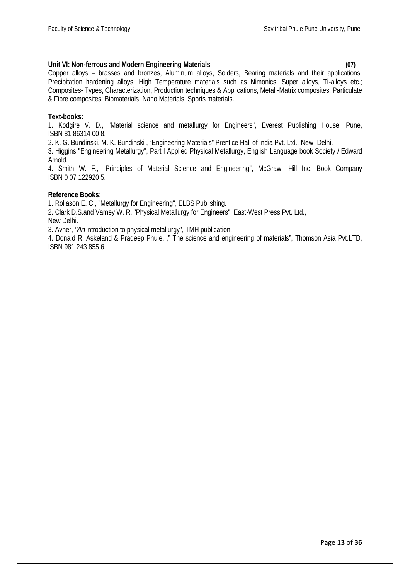#### **Unit VI: Non-ferrous and Modern Engineering Materials (07)**

Copper alloys – brasses and bronzes, Aluminum alloys, Solders, Bearing materials and their applications, Precipitation hardening alloys. High Temperature materials such as Nimonics, Super alloys, Ti-alloys etc.; Composites- Types, Characterization, Production techniques & Applications, Metal -Matrix composites, Particulate & Fibre composites; Biomaterials; Nano Materials; Sports materials.

#### **Text-books:**

1. Kodgire V. D., "Material science and metallurgy for Engineers", Everest Publishing House, Pune, ISBN 81 86314 00 8.

2. K. G. Bundinski, M. K. Bundinski , "Engineering Materials" Prentice Hall of India Pvt. Ltd., New- Delhi.

3. Higgins "Engineering Metallurgy", Part I Applied Physical Metallurgy, English Language book Society / Edward Arnold.

4. Smith W. F., "Principles of Material Science and Engineering", McGraw- Hill Inc. Book Company ISBN 0 07 122920 5.

#### **Reference Books:**

1. Rollason E. C., "Metallurgy for Engineering", ELBS Publishing.

2. Clark D.S.and Vamey W. R. "Physical Metallurgy for Engineers", East-West Press Pvt. Ltd., New Delhi.

3. Avner, *"An* introduction to physical metallurgy", TMH publication.

4. Donald R. Askeland & Pradeep Phule. ," The science and engineering of materials", Thomson Asia Pvt.LTD, ISBN 981 243 855 6.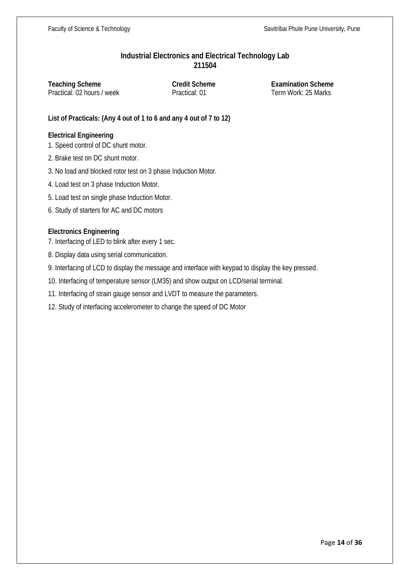## **Industrial Electronics and Electrical Technology Lab 211504**

**Teaching Scheme Credit Scheme Examination Scheme** Practical: 02 hours / week Practical: 01 Term Work: 25 Marks

**List of Practicals: (Any 4 out of 1 to 6 and any 4 out of 7 to 12)**

## **Electrical Engineering**

1. Speed control of DC shunt motor.

- 2. Brake test on DC shunt motor.
- 3. No load and blocked rotor test on 3 phase Induction Motor.
- 4. Load test on 3 phase Induction Motor.
- 5. Load test on single phase Induction Motor.
- 6. Study of starters for AC and DC motors

# **Electronics Engineering**

- 7. Interfacing of LED to blink after every 1 sec.
- 8. Display data using serial communication.
- 9. Interfacing of LCD to display the message and interface with keypad to display the key pressed.
- 10. Interfacing of temperature sensor (LM35) and show output on LCD/serial terminal.
- 11. Interfacing of strain gauge sensor and LVDT to measure the parameters.
- 12. Study of interfacing accelerometer to change the speed of DC Motor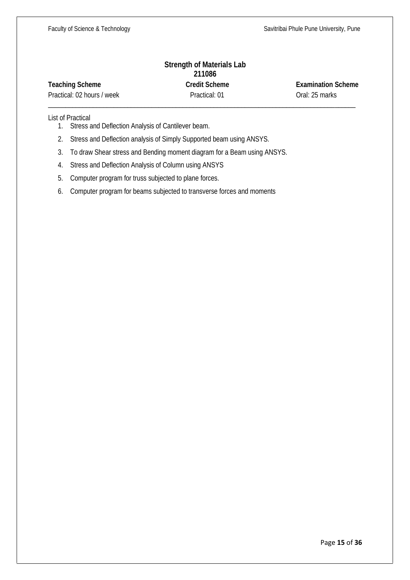# **Strength of Materials Lab 211086 Teaching Scheme Credit Scheme Examination Scheme**

Practical: 02 hours / week Practical: 01 Oral: 25 marks

\_\_\_\_\_\_\_\_\_\_\_\_\_\_\_\_\_\_\_\_\_\_\_\_\_\_\_\_\_\_\_\_\_\_\_\_\_\_\_\_\_\_\_\_\_\_\_\_\_\_\_\_\_\_\_\_\_\_\_\_\_\_\_\_\_\_\_\_\_\_\_\_\_\_\_\_\_\_\_\_\_\_\_\_\_\_\_\_\_

List of Practical

- 1. Stress and Deflection Analysis of Cantilever beam.
- 2. Stress and Deflection analysis of Simply Supported beam using ANSYS.
- 3. To draw Shear stress and Bending moment diagram for a Beam using ANSYS.
- 4. Stress and Deflection Analysis of Column using ANSYS
- 5. Computer program for truss subjected to plane forces.
- 6. Computer program for beams subjected to transverse forces and moments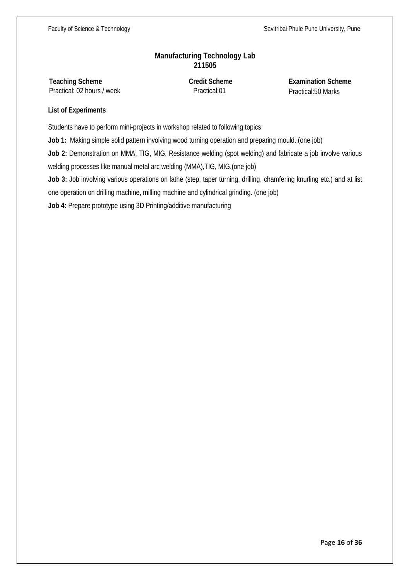# **Manufacturing Technology Lab 211505**

**Teaching Scheme Credit Scheme Examination Scheme** Practical: 02 hours / week Practical:01 Practical:50 Marks

# **List of Experiments**

Students have to perform mini-projects in workshop related to following topics

**Job 1:** Making simple solid pattern involving wood turning operation and preparing mould. (one job)

**Job 2:** Demonstration on MMA, TIG, MIG, Resistance welding (spot welding) and fabricate a job involve various welding processes like manual metal arc welding (MMA),TIG, MIG.(one job)

**Job 3:** Job involving various operations on lathe (step, taper turning, drilling, chamfering knurling etc.) and at list

one operation on drilling machine, milling machine and cylindrical grinding. (one job)

**Job 4:** Prepare prototype using 3D Printing/additive manufacturing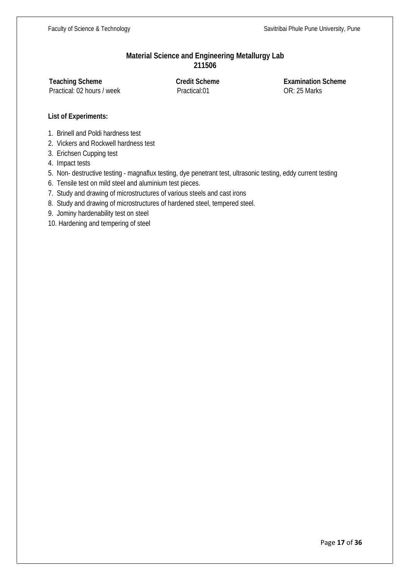# **Material Science and Engineering Metallurgy Lab 211506**

Practical: 02 hours / week

Practical:01 OR: 25 Marks

**Teaching Scheme Credit Scheme Examination Scheme**

#### **List of Experiments:**

- 1. Brinell and Poldi hardness test
- 2. Vickers and Rockwell hardness test

3. Erichsen Cupping test

- 4. Impact tests
- 5. Non- destructive testing magnaflux testing, dye penetrant test, ultrasonic testing, eddy current testing
- 6. Tensile test on mild steel and aluminium test pieces.
- 7. Study and drawing of microstructures of various steels and cast irons
- 8. Study and drawing of microstructures of hardened steel, tempered steel.
- 9. Jominy hardenability test on steel
- 10. Hardening and tempering of steel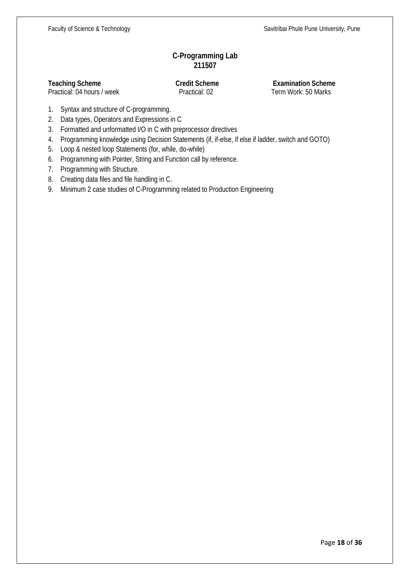# **C-Programming Lab 211507**

Practical: 04 hours / week

**Teaching Scheme Credit Scheme Examination Scheme**<br> **Practical: 04 hours / week Practical: 02 Examination Scheme Practical: 02 Term Work: 50 Marks** 

- 1. Syntax and structure of C-programming.
- 2. Data types, Operators and Expressions in C
- 3. Formatted and unformatted I/O in C with preprocessor directives
- 4. Programming knowledge using Decision Statements (if, if-else, if else if ladder, switch and GOTO)
- 5. Loop & nested loop Statements (for, while, do-while)
- 6. Programming with Pointer, String and Function call by reference.
- 7. Programming with Structure.
- 8. Creating data files and file handling in C.
- 9. Minimum 2 case studies of C-Programming related to Production Engineering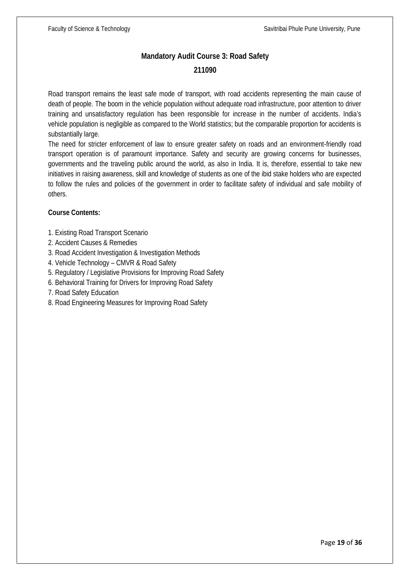# **Mandatory Audit Course 3: Road Safety 211090**

Road transport remains the least safe mode of transport, with road accidents representing the main cause of death of people. The boom in the vehicle population without adequate road infrastructure, poor attention to driver training and unsatisfactory regulation has been responsible for increase in the number of accidents. India's vehicle population is negligible as compared to the World statistics; but the comparable proportion for accidents is substantially large.

The need for stricter enforcement of law to ensure greater safety on roads and an environment-friendly road transport operation is of paramount importance. Safety and security are growing concerns for businesses, governments and the traveling public around the world, as also in India. It is, therefore, essential to take new initiatives in raising awareness, skill and knowledge of students as one of the ibid stake holders who are expected to follow the rules and policies of the government in order to facilitate safety of individual and safe mobility of others.

# **Course Contents:**

- 1. Existing Road Transport Scenario
- 2. Accident Causes & Remedies
- 3. Road Accident Investigation & Investigation Methods
- 4. Vehicle Technology CMVR & Road Safety
- 5. Regulatory / Legislative Provisions for Improving Road Safety
- 6. Behavioral Training for Drivers for Improving Road Safety
- 7. Road Safety Education
- 8. Road Engineering Measures for Improving Road Safety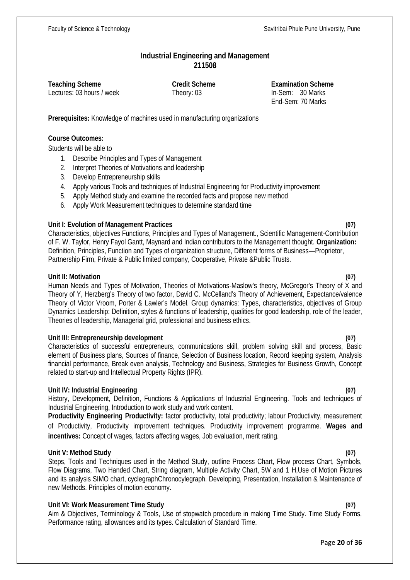## **Industrial Engineering and Management 211508**

**Teaching Scheme Credit Scheme Examination Scheme** Lectures: 03 hours / week Theory: 03 In-Sem: 30 Marks End-Sem: 70 Marks

**Prerequisites:** Knowledge of machines used in manufacturing organizations

### **Course Outcomes:**

Students will be able to

- 1. Describe Principles and Types of Management
- 2. Interpret Theories of Motivations and leadership
- 3. Develop Entrepreneurship skills
- 4. Apply various Tools and techniques of Industrial Engineering for Productivity improvement
- 5. Apply Method study and examine the recorded facts and propose new method
- 6. Apply Work Measurement techniques to determine standard time

### **Unit I: Evolution of Management Practices (07)**

Characteristics, objectives Functions, Principles and Types of Management., Scientific Management-Contribution of F. W. Taylor, Henry Fayol Gantt, Maynard and Indian contributors to the Management thought. **Organization:** Definition, Principles, Function and Types of organization structure, Different forms of Business—Proprietor, Partnership Firm, Private & Public limited company, Cooperative, Private &Public Trusts.

### **Unit II: Motivation (07)**

Human Needs and Types of Motivation, Theories of Motivations-Maslow's theory, McGregor's Theory of X and Theory of Y, Herzberg's Theory of two factor, David C. McCelland's Theory of Achievement, Expectance/valence Theory of Victor Vroom, Porter & Lawler's Model. Group dynamics: Types, characteristics, objectives of Group Dynamics Leadership: Definition, styles & functions of leadership, qualities for good leadership, role of the leader, Theories of leadership, Managerial grid, professional and business ethics.

### **Unit III: Entrepreneurship development (07)**

Characteristics of successful entrepreneurs, communications skill, problem solving skill and process, Basic element of Business plans, Sources of finance, Selection of Business location, Record keeping system, Analysis financial performance, Break even analysis, Technology and Business, Strategies for Business Growth, Concept related to start-up and Intellectual Property Rights (IPR).

### **Unit IV: Industrial Engineering (07)**

History, Development, Definition, Functions & Applications of Industrial Engineering. Tools and techniques of Industrial Engineering, Introduction to work study and work content.

**Productivity Engineering Productivity:** factor productivity, total productivity; labour Productivity, measurement of Productivity, Productivity improvement techniques. Productivity improvement programme. **Wages and incentives:** Concept of wages, factors affecting wages, Job evaluation, merit rating.

### **Unit V: Method Study (07)**

Steps, Tools and Techniques used in the Method Study, outline Process Chart, Flow process Chart, Symbols, Flow Diagrams, Two Handed Chart, String diagram, Multiple Activity Chart, 5W and 1 H,Use of Motion Pictures and its analysis SIMO chart, cyclegraphChronocylegraph. Developing, Presentation, Installation & Maintenance of new Methods. Principles of motion economy.

### **Unit VI: Work Measurement Time Study (07)**

Aim & Objectives, Terminology & Tools, Use of stopwatch procedure in making Time Study. Time Study Forms, Performance rating, allowances and its types. Calculation of Standard Time.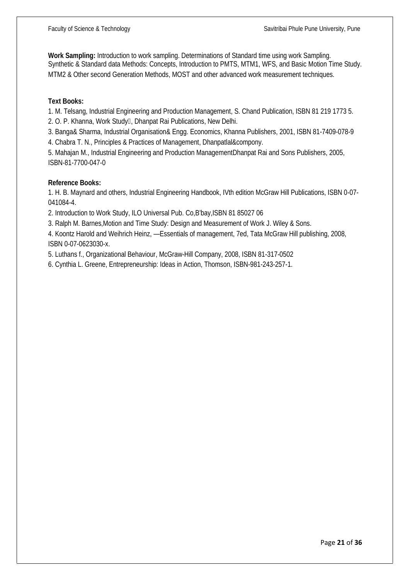**Work Sampling:** Introduction to work sampling. Determinations of Standard time using work Sampling. Synthetic & Standard data Methods: Concepts, Introduction to PMTS, MTM1, WFS, and Basic Motion Time Study. MTM2 & Other second Generation Methods, MOST and other advanced work measurement techniques.

#### **Text Books:**

1. M. Telsang, Industrial Engineering and Production Management, S. Chand Publication, ISBN 81 219 1773 5. 2. O. P. Khanna, Work Study , Dhanpat Rai Publications, New Delhi.

3. Banga& Sharma, Industrial Organisation& Engg. Economics, Khanna Publishers, 2001, ISBN 81-7409-078-9

4. Chabra T. N., Principles & Practices of Management, Dhanpatlal&compony.

5. Mahajan M., Industrial Engineering and Production ManagementDhanpat Rai and Sons Publishers, 2005, ISBN-81-7700-047-0

#### **Reference Books:**

1. H. B. Maynard and others, Industrial Engineering Handbook, IVth edition McGraw Hill Publications, ISBN 0-07- 041084-4.

2. Introduction to Work Study, ILO Universal Pub. Co,B'bay,ISBN 81 85027 06

3. Ralph M. Barnes,Motion and Time Study: Design and Measurement of Work J. Wiley & Sons.

4. Koontz Harold and Weihrich Heinz, Essentials of management, 7ed, Tata McGraw Hill publishing, 2008, ISBN 0-07-0623030-x.

5. Luthans f., Organizational Behaviour, McGraw-Hill Company, 2008, ISBN 81-317-0502

6. Cynthia L. Greene, Entrepreneurship: Ideas in Action, Thomson, ISBN-981-243-257-1.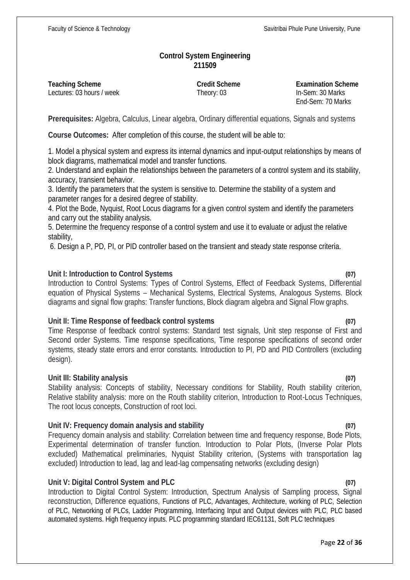# **Control System Engineering 211509**

**Teaching Scheme Credit Scheme Examination Scheme** Lectures: 03 hours / week Theory: 03 In-Sem: 30 Marks

End-Sem: 70 Marks

**Prerequisites:** Algebra, Calculus, Linear algebra, Ordinary differential equations, Signals and systems

**Course Outcomes:** After completion of this course, the student will be able to:

1. Model a physical system and express its internal dynamics and input-output relationships by means of block diagrams, mathematical model and transfer functions.

2. Understand and explain the relationships between the parameters of a control system and its stability, accuracy, transient behavior.

3. Identify the parameters that the system is sensitive to. Determine the stability of a system and parameter ranges for a desired degree of stability.

4. Plot the Bode, Nyquist, Root Locus diagrams for a given control system and identify the parameters and carry out the stability analysis.

5. Determine the frequency response of a control system and use it to evaluate or adjust the relative stability,

6. Design a P, PD, PI, or PID controller based on the transient and steady state response criteria.

# **Unit I: Introduction to Control Systems (07)**

Introduction to Control Systems: Types of Control Systems, Effect of Feedback Systems, Differential equation of Physical Systems – Mechanical Systems, Electrical Systems, Analogous Systems. Block diagrams and signal flow graphs: Transfer functions, Block diagram algebra and Signal Flow graphs.

### **Unit II: Time Response of feedback control systems (07)**

Time Response of feedback control systems: Standard test signals, Unit step response of First and Second order Systems. Time response specifications, Time response specifications of second order systems, steady state errors and error constants. Introduction to PI, PD and PID Controllers (excluding design).

### **Unit III: Stability analysis (07)**

Stability analysis: Concepts of stability, Necessary conditions for Stability, Routh stability criterion, Relative stability analysis: more on the Routh stability criterion, Introduction to Root-Locus Techniques, The root locus concepts, Construction of root loci.

### **Unit IV: Frequency domain analysis and stability (07)**

Frequency domain analysis and stability: Correlation between time and frequency response, Bode Plots, Experimental determination of transfer function. Introduction to Polar Plots, (Inverse Polar Plots excluded) Mathematical preliminaries, Nyquist Stability criterion, (Systems with transportation lag excluded) Introduction to lead, lag and lead-lag compensating networks (excluding design)

### **Unit V: Digital Control System and PLC (07)**

Introduction to Digital Control System: Introduction, Spectrum Analysis of Sampling process, Signal reconstruction, Difference equations, Functions of PLC, Advantages, Architecture, working of PLC, Selection of PLC, Networking of PLCs, Ladder Programming, Interfacing Input and Output devices with PLC, PLC based automated systems. High frequency inputs. PLC programming standard IEC61131, Soft PLC techniques

#### Page **22** of **36**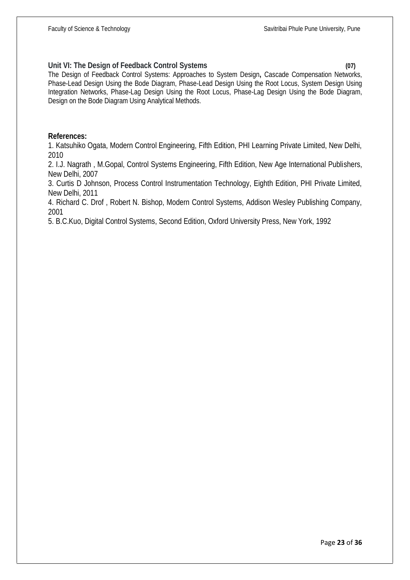## **Unit VI: The Design of Feedback Control Systems (07)**

The Design of Feedback Control Systems: Approaches to System Design**,** Cascade Compensation Networks, Phase-Lead Design Using the Bode Diagram, Phase-Lead Design Using the Root Locus, System Design Using Integration Networks, Phase-Lag Design Using the Root Locus, Phase-Lag Design Using the Bode Diagram, Design on the Bode Diagram Using Analytical Methods.

# **References:**

1. Katsuhiko Ogata, Modern Control Engineering, Fifth Edition, PHI Learning Private Limited, New Delhi, 2010

2. I.J. Nagrath , M.Gopal, Control Systems Engineering, Fifth Edition, New Age International Publishers, New Delhi, 2007

3. Curtis D Johnson, Process Control Instrumentation Technology, Eighth Edition, PHI Private Limited, New Delhi, 2011

4. Richard C. Drof , Robert N. Bishop, Modern Control Systems, Addison Wesley Publishing Company, 2001

5. B.C.Kuo, Digital Control Systems, Second Edition, Oxford University Press, New York, 1992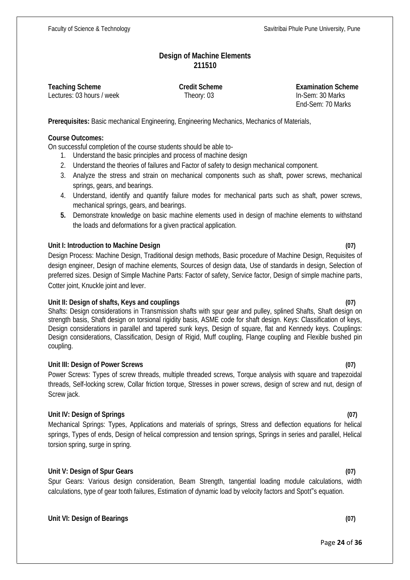# **Design of Machine Elements 211510**

**Teaching Scheme Credit Scheme Examination Scheme** Lectures: 03 hours / week Theory: 03 In-Sem: 30 Marks

End-Sem: 70 Marks

**Prerequisites:** Basic mechanical Engineering, Engineering Mechanics, Mechanics of Materials,

### **Course Outcomes:**

On successful completion of the course students should be able to-

- 1. Understand the basic principles and process of machine design
- 2. Understand the theories of failures and Factor of safety to design mechanical component.
- 3. Analyze the stress and strain on mechanical components such as shaft, power screws, mechanical springs, gears, and bearings.
- 4. Understand, identify and quantify failure modes for mechanical parts such as shaft, power screws, mechanical springs, gears, and bearings.
- **5.** Demonstrate knowledge on basic machine elements used in design of machine elements to withstand the loads and deformations for a given practical application.

# **Unit I: Introduction to Machine Design (07)**

Design Process: Machine Design, Traditional design methods, Basic procedure of Machine Design, Requisites of design engineer, Design of machine elements, Sources of design data, Use of standards in design, Selection of preferred sizes. Design of Simple Machine Parts: Factor of safety, Service factor, Design of simple machine parts, Cotter joint, Knuckle joint and lever.

### **Unit II: Design of shafts, Keys and couplings (07)**

Shafts: Design considerations in Transmission shafts with spur gear and pulley, splined Shafts, Shaft design on strength basis, Shaft design on torsional rigidity basis, ASME code for shaft design. Keys: Classification of keys, Design considerations in parallel and tapered sunk keys, Design of square, flat and Kennedy keys. Couplings: Design considerations, Classification, Design of Rigid, Muff coupling, Flange coupling and Flexible bushed pin coupling.

### **Unit III: Design of Power Screws (07)**

Power Screws: Types of screw threads, multiple threaded screws, Torque analysis with square and trapezoidal threads, Self-locking screw, Collar friction torque, Stresses in power screws, design of screw and nut, design of Screw jack.

# **Unit IV: Design of Springs (07)**

Mechanical Springs: Types, Applications and materials of springs, Stress and deflection equations for helical springs, Types of ends, Design of helical compression and tension springs, Springs in series and parallel, Helical torsion spring, surge in spring.

# **Unit V: Design of Spur Gears (07)**

Spur Gears: Various design consideration, Beam Strength, tangential loading module calculations, width calculations, type of gear tooth failures, Estimation of dynamic load by velocity factors and Spott"s equation.

# **Unit VI: Design of Bearings (07)**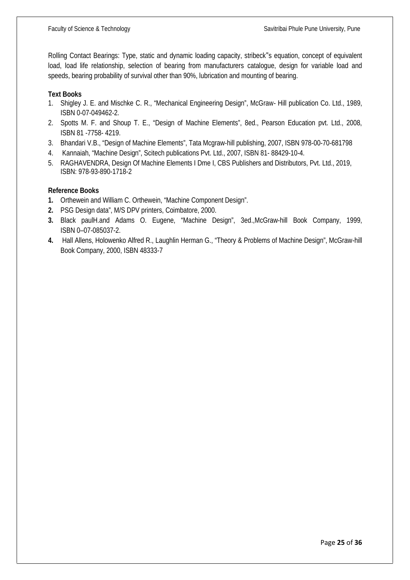Rolling Contact Bearings: Type, static and dynamic loading capacity, stribeck"s equation, concept of equivalent load, load life relationship, selection of bearing from manufacturers catalogue, design for variable load and speeds, bearing probability of survival other than 90%, lubrication and mounting of bearing.

#### **Text Books**

- 1. Shigley J. E. and Mischke C. R., "Mechanical Engineering Design", McGraw- Hill publication Co. Ltd., 1989, ISBN 0-07-049462-2.
- 2. Spotts M. F. and Shoup T. E., "Design of Machine Elements", 8ed., Pearson Education pvt. Ltd., 2008, ISBN 81 -7758- 4219.
- 3. Bhandari V.B., "Design of Machine Elements", Tata Mcgraw-hill publishing, 2007, ISBN 978-00-70-681798
- 4. Kannaiah, "Machine Design", Scitech publications Pvt. Ltd., 2007, ISBN 81- 88429-10-4.
- 5. RAGHAVENDRA, Design Of Machine Elements I Dme I, CBS Publishers and Distributors, Pvt. Ltd., 2019, ISBN: 978-93-890-1718-2

### **Reference Books**

- **1.** Orthewein and William C. Orthewein, "Machine Component Design".
- **2.** PSG Design data", M/S DPV printers, Coimbatore, 2000.
- **3.** Black paulH.and Adams O. Eugene, "Machine Design", 3ed.,McGraw-hill Book Company, 1999, ISBN 0–07-085037-2.
- **4.** Hall Allens, Holowenko Alfred R., Laughlin Herman G., "Theory & Problems of Machine Design", McGraw-hill Book Company, 2000, ISBN 48333-7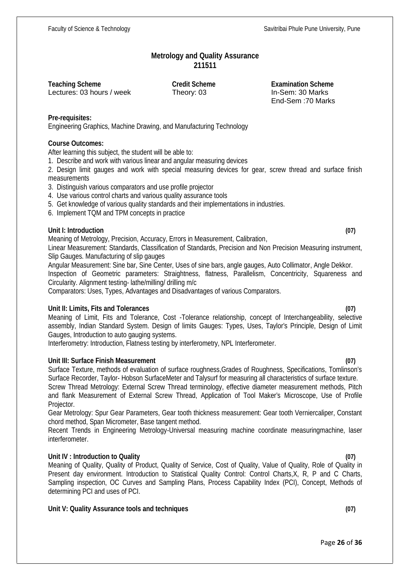Page **26** of **36**

#### **Metrology and Quality Assurance 211511**

Lectures: 03 hours / week Theory: 03

**Teaching Scheme Credit Scheme Credit Scheme Examination Scheme**<br>
Lectures: 03 hours / week **Theory: 03 Examination Scheme Lectures: 03 harks** End-Sem :70 Marks

### **Pre-requisites:**

Engineering Graphics, Machine Drawing, and Manufacturing Technology

### **Course Outcomes:**

After learning this subject, the student will be able to:

1. Describe and work with various linear and angular measuring devices

2. Design limit gauges and work with special measuring devices for gear, screw thread and surface finish measurements

- 3. Distinguish various comparators and use profile projector
- 4. Use various control charts and various quality assurance tools
- 5. Get knowledge of various quality standards and their implementations in industries.
- 6. Implement TQM and TPM concepts in practice

# **Unit I: Introduction (07)**

Meaning of Metrology, Precision, Accuracy, Errors in Measurement, Calibration,

Linear Measurement: Standards, Classification of Standards, Precision and Non Precision Measuring instrument, Slip Gauges. Manufacturing of slip gauges

Angular Measurement: Sine bar, Sine Center, Uses of sine bars, angle gauges, Auto Collimator, Angle Dekkor. Inspection of Geometric parameters: Straightness, flatness, Parallelism, Concentricity, Squareness and Circularity. Alignment testing- lathe/milling/ drilling m/c

Comparators: Uses, Types, Advantages and Disadvantages of various Comparators.

### **Unit II: Limits, Fits and Tolerances (07)**

Meaning of Limit, Fits and Tolerance, Cost -Tolerance relationship, concept of Interchangeability, selective assembly, Indian Standard System. Design of limits Gauges: Types, Uses, Taylor's Principle, Design of Limit Gauges, Introduction to auto gauging systems.

Interferometry: Introduction, Flatness testing by interferometry, NPL Interferometer.

# **Unit III: Surface Finish Measurement (07)**

Surface Texture, methods of evaluation of surface roughness,Grades of Roughness, Specifications, Tomlinson's Surface Recorder, Taylor- Hobson SurfaceMeter and Talysurf for measuring all characteristics of surface texture. Screw Thread Metrology: External Screw Thread terminology, effective diameter measurement methods, Pitch and flank Measurement of External Screw Thread, Application of Tool Maker's Microscope, Use of Profile Projector.

Gear Metrology: Spur Gear Parameters, Gear tooth thickness measurement: Gear tooth Verniercaliper, Constant chord method, Span Micrometer, Base tangent method.

Recent Trends in Engineering Metrology-Universal measuring machine coordinate measuringmachine, laser interferometer.

### **Unit IV : Introduction to Quality (07)**

Meaning of Quality, Quality of Product, Quality of Service, Cost of Quality, Value of Quality, Role of Quality in Present day environment. Introduction to Statistical Quality Control: Control Charts,X, R, P and C Charts, Sampling inspection, OC Curves and Sampling Plans, Process Capability Index (PCI), Concept, Methods of determining PCI and uses of PCI.

### **Unit V: Quality Assurance tools and techniques (07)**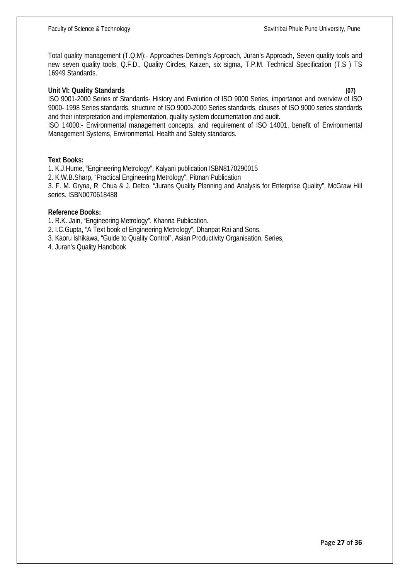Total quality management (T.Q.M):- Approaches-Deming's Approach, Juran's Approach, Seven quality tools and new seven quality tools, Q.F.D., Quality Circles, Kaizen, six sigma, T.P.M. Technical Specification (T.S ) TS 16949 Standards.

#### **Unit VI: Quality Standards (07)**

ISO 9001-2000 Series of Standards- History and Evolution of ISO 9000 Series, importance and overview of ISO 9000- 1998 Series standards, structure of ISO 9000-2000 Series standards, clauses of ISO 9000 series standards and their interpretation and implementation, quality system documentation and audit.

ISO 14000:- Environmental management concepts, and requirement of ISO 14001, benefit of Environmental Management Systems, Environmental, Health and Safety standards.

#### **Text Books:**

1. K.J.Hume, "Engineering Metrology", Kalyani publication ISBN8170290015 2. K.W.B.Sharp, "Practical Engineering Metrology", Pitman Publication 3. F. M. Gryna, R. Chua & J. Defco, "Jurans Quality Planning and Analysis for Enterprise Quality", McGraw Hill series. ISBN0070618488

#### **Reference Books:**

1. R.K. Jain, "Engineering Metrology", Khanna Publication.

2. I.C.Gupta, "A Text book of Engineering Metrology", Dhanpat Rai and Sons.

3. Kaoru Ishikawa, "Guide to Quality Control", Asian Productivity Organisation, Series,

4. Juran's Quality Handbook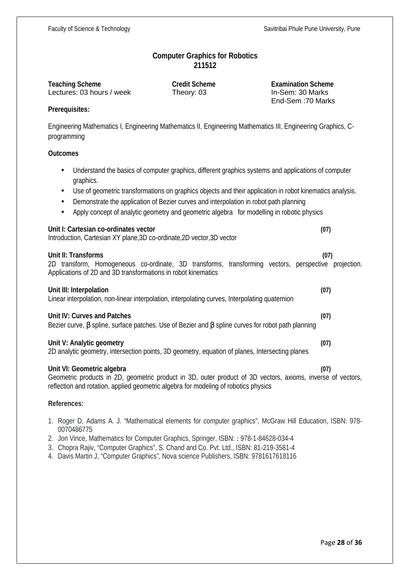### **Computer Graphics for Robotics 211512**

Lectures: 03 hours / week Theory: 03

**Teaching Scheme Credit Scheme Credit Scheme Examination Scheme**<br>
Lectures: 03 hours / week **Theory: 03 Examination Scheme Credit Scheme Examination Scheme** End-Sem :70 Marks

### **Prerequisites:**

Engineering Mathematics I, Engineering Mathematics II, Engineering Mathematics III, Engineering Graphics, C programming

#### **Outcomes**

- Understand the basics of computer graphics, different graphics systems and applications of computer graphics.
- Use of geometric transformations on graphics objects and their application in robot kinematics analysis.
- Demonstrate the application of Bezier curves and interpolation in robot path planning
- Apply concept of analytic geometry and geometric algebra for modelling in robotic physics

#### **Unit I: Cartesian co-ordinates vector (07)**

Introduction, Cartesian XY plane,3D co-ordinate,2D vector,3D vector

#### **Unit II: Transforms (07)**

2D transform, Homogeneous co-ordinate, 3D transforms, transforming vectors, perspective projection. Applications of 2D and 3D transformations in robot kinematics

#### **Unit III: Interpolation (07)**

Linear interpolation, non-linear interpolation, interpolating curves, Interpolating quaternion

### **Unit IV: Curves and Patches (07)**

Bezier curve, S spline, surface patches. Use of Bezier and S spline curves for robot path planning

#### **Unit V: Analytic geometry (07)**

2D analytic geometry, intersection points, 3D geometry, equation of planes, Intersecting planes

### **Unit VI: Geometric algebra (07)**

Geometric products in 2D, geometric product in 3D, outer product of 3D vectors, axioms, inverse of vectors, reflection and rotation, applied geometric algebra for modeling of robotics physics

#### **References:**

- 1. Roger D, Adams A. J. "Mathematical elements for computer graphics", McGraw Hill Education, ISBN: 978- 0070486775
- 2. Jon Vince, Mathematics for Computer Graphics, Springer, ISBN: : 978-1-84628-034-4
- 3. Chopra Rajiv, "Computer Graphics", S. Chand and Co. Pvt. Ltd., ISBN: 81-219-3581-4
- 4. Davis Martin J, "Computer Graphics", Nova science Publishers, ISBN: 9781617618116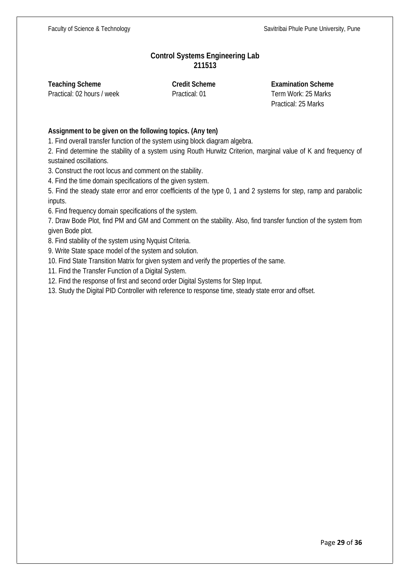# **Control Systems Engineering Lab 211513**

**Teaching Scheme Credit Scheme Examination Scheme**

Practical: 02 hours / week Practical: 01 Term Work: 25 Marks Practical: 25 Marks

### **Assignment to be given on the following topics. (Any ten)**

1. Find overall transfer function of the system using block diagram algebra.

2. Find determine the stability of a system using Routh Hurwitz Criterion, marginal value of K and frequency of sustained oscillations.

3. Construct the root locus and comment on the stability.

4. Find the time domain specifications of the given system.

5. Find the steady state error and error coefficients of the type 0, 1 and 2 systems for step, ramp and parabolic inputs.

6. Find frequency domain specifications of the system.

7. Draw Bode Plot, find PM and GM and Comment on the stability. Also, find transfer function of the system from given Bode plot.

8. Find stability of the system using Nyquist Criteria.

9. Write State space model of the system and solution.

10. Find State Transition Matrix for given system and verify the properties of the same.

11. Find the Transfer Function of a Digital System.

12. Find the response of first and second order Digital Systems for Step Input.

13. Study the Digital PID Controller with reference to response time, steady state error and offset.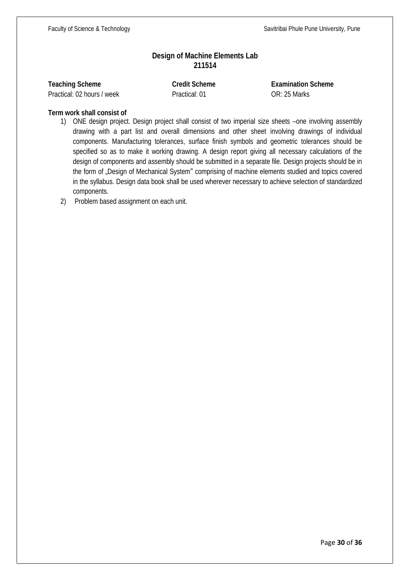# **Design of Machine Elements Lab 211514**

|  | <b>Teaching Scheme</b> |  |
|--|------------------------|--|
|  | $\cdots$ $\sim$        |  |

**Teaching Scheme Credit Scheme Examination Scheme** Practical: 02 hours / week Practical: 01 OR: 25 Marks

# **Term work shall consist of**

1) ONE design project. Design project shall consist of two imperial size sheets –one involving assembly drawing with a part list and overall dimensions and other sheet involving drawings of individual components. Manufacturing tolerances, surface finish symbols and geometric tolerances should be specified so as to make it working drawing. A design report giving all necessary calculations of the design of components and assembly should be submitted in a separate file. Design projects should be in the form of "Design of Mechanical System" comprising of machine elements studied and topics covered in the syllabus. Design data book shall be used wherever necessary to achieve selection of standardized components.

2) Problem based assignment on each unit.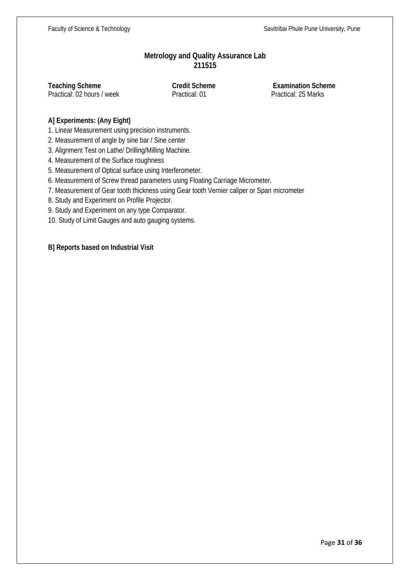# **Metrology and Quality Assurance Lab 211515**

**Teaching Scheme Credit Scheme Examination Scheme**<br> **Practical: 02 hours / week Practical: 01 Practical: 25 Marks** Practical: 02 hours / week

# **A] Experiments: (Any Eight)**

1. Linear Measurement using precision instruments.

2. Measurement of angle by sine bar / Sine center

3. Alignment Test on Lathe/ Drilling/Milling Machine.

4. Measurement of the Surface roughness

5. Measurement of Optical surface using Interferometer.

6. Measurement of Screw thread parameters using Floating Carriage Micrometer.

7. Measurement of Gear tooth thickness using Gear tooth Vernier caliper or Span micrometer

8. Study and Experiment on Profile Projector.

9. Study and Experiment on any type Comparator.

10. Study of Limit Gauges and auto gauging systems.

**B] Reports based on Industrial Visit**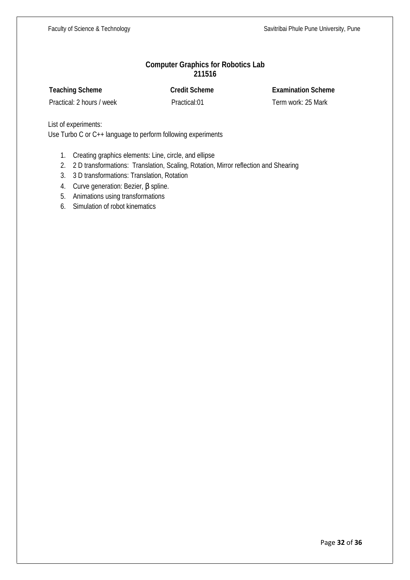# **Computer Graphics for Robotics Lab 211516**

**Teaching Scheme Credit Scheme Examination Scheme**

Practical: 2 hours / week Practical:01 Term work: 25 Mark

List of experiments:

Use Turbo C or C++ language to perform following experiments

- 1. Creating graphics elements: Line, circle, and ellipse
- 2. 2 D transformations: Translation, Scaling, Rotation, Mirror reflection and Shearing
- 3. 3 D transformations: Translation, Rotation
- 4. Curve generation: Bezier,  $\beta$  spline.
- 5. Animations using transformations
- 6. Simulation of robot kinematics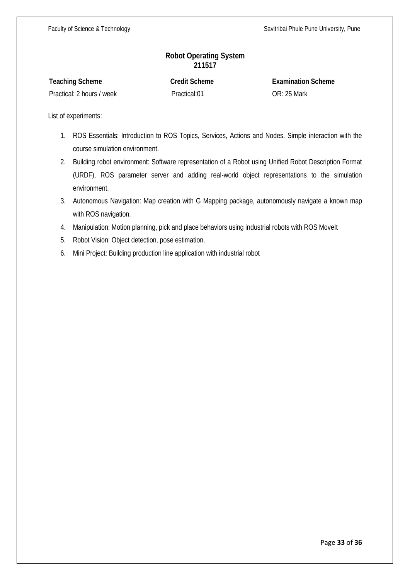# **Robot Operating System 211517**

| <b>Teaching Scheme</b>    | <b>Credit Scheme</b> | <b>Examination Scheme</b> |
|---------------------------|----------------------|---------------------------|
| Practical: 2 hours / week | Practical:01         | <b>OR: 25 Mark</b>        |

List of experiments:

- 1. ROS Essentials: Introduction to ROS Topics, Services, Actions and Nodes. Simple interaction with the course simulation environment.
- 2. Building robot environment: Software representation of a Robot using Unified Robot Description Format (URDF), ROS parameter server and adding real-world object representations to the simulation environment.
- 3. Autonomous Navigation: Map creation with G Mapping package, autonomously navigate a known map with ROS navigation.
- 4. Manipulation: Motion planning, pick and place behaviors using industrial robots with ROS Movelt
- 5. Robot Vision: Object detection, pose estimation.
- 6. Mini Project: Building production line application with industrial robot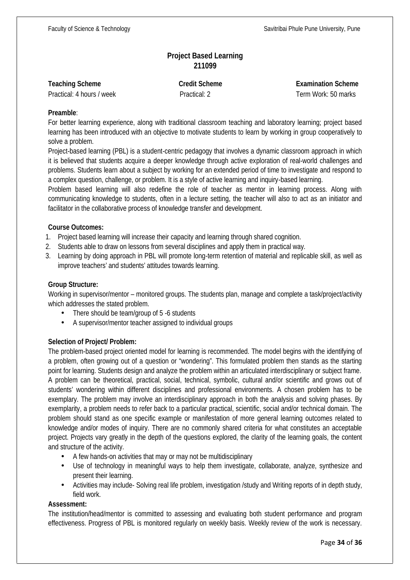# **Project Based Learning 211099**

| <b>Teaching Scheme</b> |  |  |  |
|------------------------|--|--|--|
|------------------------|--|--|--|

**Teaching Scheme Credit Scheme Examination Scheme** Practical: 4 hours / week Practical: 2 Term Work: 50 marks

#### **Preamble**:

For better learning experience, along with traditional classroom teaching and laboratory learning; project based learning has been introduced with an objective to motivate students to learn by working in group cooperatively to solve a problem.

Project-based learning (PBL) is a student-centric pedagogy that involves a dynamic classroom approach in which it is believed that students acquire a deeper knowledge through active exploration of real-world challenges and problems. Students learn about a subject by working for an extended period of time to investigate and respond to a complex question, challenge, or problem. It is a style of active learning and inquiry-based learning.

Problem based learning will also redefine the role of teacher as mentor in learning process. Along with communicating knowledge to students, often in a lecture setting, the teacher will also to act as an initiator and facilitator in the collaborative process of knowledge transfer and development.

### **Course Outcomes:**

- 1. Project based learning will increase their capacity and learning through shared cognition.
- 2. Students able to draw on lessons from several disciplines and apply them in practical way.
- 3. Learning by doing approach in PBL will promote long-term retention of material and replicable skill, as well as improve teachers' and students' attitudes towards learning.

### **Group Structure:**

Working in supervisor/mentor – monitored groups. The students plan, manage and complete a task/project/activity which addresses the stated problem.

- There should be team/group of 5-6 students
- A supervisor/mentor teacher assigned to individual groups

### **Selection of Project/ Problem:**

The problem-based project oriented model for learning is recommended. The model begins with the identifying of a problem, often growing out of a question or "wondering". This formulated problem then stands as the starting point for learning. Students design and analyze the problem within an articulated interdisciplinary or subject frame. A problem can be theoretical, practical, social, technical, symbolic, cultural and/or scientific and grows out of students' wondering within different disciplines and professional environments. A chosen problem has to be exemplary. The problem may involve an interdisciplinary approach in both the analysis and solving phases. By exemplarity, a problem needs to refer back to a particular practical, scientific, social and/or technical domain. The problem should stand as one specific example or manifestation of more general learning outcomes related to knowledge and/or modes of inquiry. There are no commonly shared criteria for what constitutes an acceptable project. Projects vary greatly in the depth of the questions explored, the clarity of the learning goals, the content and structure of the activity.

- A few hands-on activities that may or may not be multidisciplinary
- Use of technology in meaningful ways to help them investigate, collaborate, analyze, synthesize and present their learning.
- Activities may include- Solving real life problem, investigation /study and Writing reports of in depth study, field work.

#### **Assessment:**

The institution/head/mentor is committed to assessing and evaluating both student performance and program effectiveness. Progress of PBL is monitored regularly on weekly basis. Weekly review of the work is necessary.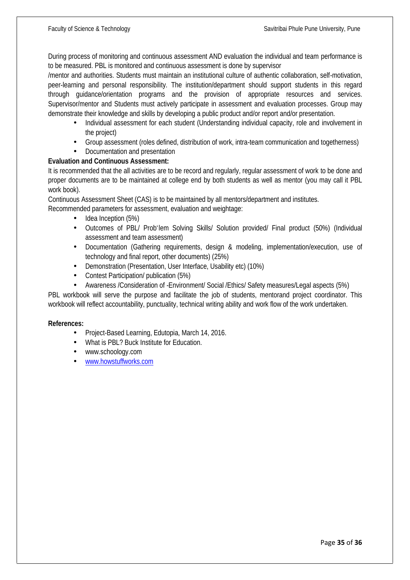During process of monitoring and continuous assessment AND evaluation the individual and team performance is to be measured. PBL is monitored and continuous assessment is done by supervisor

/mentor and authorities. Students must maintain an institutional culture of authentic collaboration, self-motivation, peer-learning and personal responsibility. The institution/department should support students in this regard through guidance/orientation programs and the provision of appropriate resources and services. Supervisor/mentor and Students must actively participate in assessment and evaluation processes. Group may demonstrate their knowledge and skills by developing a public product and/or report and/or presentation.

- Individual assessment for each student (Understanding individual capacity, role and involvement in the project)
- Group assessment (roles defined, distribution of work, intra-team communication and togetherness)
- Documentation and presentation

### **Evaluation and Continuous Assessment:**

It is recommended that the all activities are to be record and regularly, regular assessment of work to be done and proper documents are to be maintained at college end by both students as well as mentor (you may call it PBL work book).

Continuous Assessment Sheet (CAS) is to be maintained by all mentors/department and institutes.

Recommended parameters for assessment, evaluation and weightage:

- Idea Inception (5%)
- Outcomes of PBL/ Prob`lem Solving Skills/ Solution provided/ Final product (50%) (Individual assessment and team assessment)
- Documentation (Gathering requirements, design & modeling, implementation/execution, use of technology and final report, other documents) (25%)
- Demonstration (Presentation, User Interface, Usability etc) (10%)
- Contest Participation / publication (5%)
- Awareness /Consideration of -Environment/ Social /Ethics/ Safety measures/Legal aspects (5%)

PBL workbook will serve the purpose and facilitate the job of students, mentorand project coordinator. This workbook will reflect accountability, punctuality, technical writing ability and work flow of the work undertaken.

### **References:**

- Project-Based Learning, Edutopia, March 14, 2016.
- What is PBL? Buck Institute for Education.
- www.schoology.com
- www.howstuffworks.com